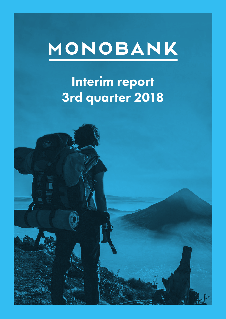# MONOBANK

# Interim report 3rd quarter 2018

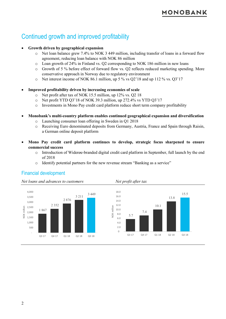# Continued growth and improved profitability

#### • **Growth driven by geographical expansion**

- o Net loan balance grew 7.4% to NOK 3 449 million, including transfer of loans in a forward flow agreement, reducing loan balance with NOK 86 million
- o Loan growth of 24% in Finland vs. Q2 corresponding to NOK 186 million in new loans
- o Growth of 5 % before effect of forward flow vs. Q2 reflects reduced marketing spending. More conservative approach in Norway due to regulatory environment
- o Net interest income of NOK 86.1 million, up 5 % vs Q2'18 and up 112 % vs. Q3'17

#### • **Improved profitability driven by increasing economies of scale**

- o Net profit after tax of NOK 15.5 million, up 12% vs. Q2 18
- o Net profit YTD Q3'18 of NOK 39.3 million, up 272.4% vs YTD Q3'17
- o Investments in Mono Pay credit card platform reduce short term company profitability

#### • **Monobank's multi-country platform enables continued geographical expansion and diversification**

- o Launching consumer loan offering in Sweden in Q1 2018
- o Receiving Euro denominated deposits from Germany, Austria, France and Spain through Raisin, a German online deposit platform
- **Mono Pay credit card platform continues to develop, strategic focus sharpened to ensure commercial success**

NOK million

VOK

million

- o Introduction of Widerøe-branded digital credit card platform in September, full launch by the end of 2018
- o Identify potential partners for the new revenue stream "Banking as a service"

#### Financial development

*Net loans and advances to customers Net profit after tax*





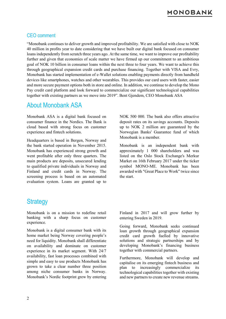# **10N0BANK**

#### CEO comment

"Monobank continues to deliver growth and improved profitability. We are satisfied with close to NOK 40 million in profits year to date considering that we have built our digital bank focused on consumer loans independently from scratch three years ago. At the same time, we want to improve our profitability further and given that economies of scale matter we have firmed up our commitment to an ambitious goal of NOK 10 billion in consumer loans within the next three to four years. We want to achieve this through geographical expansion credit cards and purchase financing. Together with VISA and Evry, Monobank has started implementation of e-Wallet solutions enabling payments directly from handheld devices like smartphones, watches and other wearables. This provides our card users with faster, easier and more secure payment options both in store and online. In addition, we continue to develop the Mono Pay credit card platform and look forward to commercialize our significant technological capabilities together with existing partners as we move into 2019". Bent Gjendem, CEO Monobank ASA

#### About Monobank ASA

Monobank ASA is a digital bank focused on consumer finance in the Nordics. The Bank is cloud based with strong focus on customer experience and fintech solutions.

Headquarters is based in Bergen, Norway and the bank started operation in November 2015. Monobank has experienced strong growth and went profitable after only three quarters. The main products are deposits, unsecured lending to qualified private individuals in Norway and Finland and credit cards in Norway. The screening process is based on an automated evaluation system. Loans are granted up to

NOK 500 000. The bank also offers attractive deposit rates on its savings accounts. Deposits up to NOK 2 million are guaranteed by the Norwegian Banks' Guarantee fund of which Monobank is a member.

Monobank is an independent bank with approximately 1 000 shareholders and was listed on the Oslo Stock Exchange's Merkur Market on 16th February 2017 under the ticker symbol MONO-ME. Monobank has been awarded with "Great Place to Work" twice since the start.

### **Strategy**

Monobank is on a mission to redefine retail banking with a sharp focus on customer experience.

Monobank is a digital consumer bank with its home market being Norway covering people's need for liquidity. Monobank shall differentiate on availability and dominate on customer experience in its market segment. With 24/7 availability, fast loan processes combined with simple and easy to use products Monobank has grown to take a clear number three position among niche consumer banks in Norway. Monobank's Nordic footprint grew by entering Finland in 2017 and will grow further by entering Sweden in 2019.

Going forward, Monobank seeks continued loan growth through geographical expansion credit card growth fuelled by innovative solutions and strategic partnerships and by developing Monobank's financing business together with commercial partners.

Furthermore, Monobank will develop and capitalise on its emerging fintech business and plan to increasingly commercialize its technological capabilities together with existing and new partners to create new revenue streams.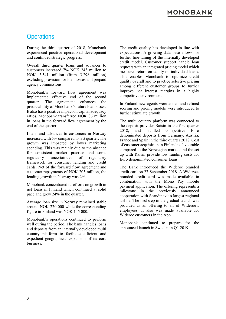# **Operations**

During the third quarter of 2018, Monobank experienced positive operational development and continued strategic progress.

Overall third quarter loans and advances to customers increased 7% NOK 243 million to NOK 3 541 million (from 3 298 million) excluding provision for loan losses and prepaid agency commissions.

Monobank's forward flow agreement was implemented effective end of the second quarter. The agreement enhances the predictability of Monobank's future loan losses. It also has a positive impact on capital adequacy ratios. Monobank transferred NOK 86 million in loans in the forward flow agreement by the end of the quarter.

Loans and advances to customers in Norway increased with 5% compared to last quarter. The growth was impacted by lower marketing spending. This was mainly due to the absence for consistent market practice and some regulatory uncertainties of regulatory framework for consumer lending and credit cards. Net of the forward flow agreement and customer repayments of NOK 203 million, the lending growth in Norway was 2%.

Monobank concentrated its efforts on growth in net loans in Finland which continued at solid pace and grew 24% in the quarter.

Average loan size in Norway remained stable around NOK 220 000 while the corresponding figure in Finland was NOK 145 000.

Monobank's operations continued to perform well during the period. The bank handles loans and deposits from an internally developed multi country platform to facilitate efficient and expedient geographical expansion of its core business.

The credit quality has developed in line with expectations. A growing data base allows for further fine-tuning of the internally developed credit model. Customer support handle loan requests with an integrated pricing model which measures return on equity on individual loans. This enables Monobank to optimize credit quality overall and to practice selective pricing among different customer groups to further improve net interest margins in a highly competitive environment.

In Finland new agents were added and refined scoring and pricing models were introduced to further stimulate growth.

The multi country platform was connected to the deposit provider Raisin in the first quarter 2018, and handled competitive Euro denominated deposits from Germany, Austria, France and Spain in the third quarter 2018. Cost of customer acquisition in Finland is favourable compared to the Norwegian market and the set up with Raisin provide low funding costs for Euro denominated consumer loans.

The Bank introduced the Widerøe branded credit card on 27 September 2018. A Widerøebranded credit card was made available in combination with the Mono Pay mobile payment application. The offering represents a milestone in the previously announced cooperation with Scandinavia's largest regional airline. The first step in the gradual launch was provided as an offering to all of Widerøe's employees. It also was made available for Widerøe customers in the App.

Monobank continued to prepare for the announced launch in Sweden in Q1 2019.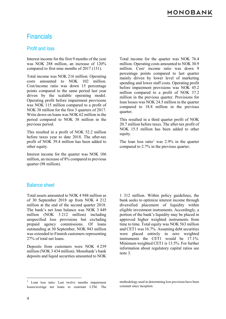# Financials

#### Profit and loss

Interest income for the first 9 months of the year was NOK 288 million, an increase of 120% compared to first nine months of 2017 (131).

Total income was NOK 216 million. Operating costs amounted to NOK 102 million. Cost/income ratio was down 15 percentage points compared to the same period last year driven by the scalable operating model. Operating profit before impairment provisions was NOK 115 million compared to a profit of NOK 38 million for the first 3 quarters of 2017. Write down on loans was NOK 62 million in the period compared to NOK 38 million in the previous period.

This resulted in a profit of NOK 52.2 million before taxes year to date 2018. The after-tax profit of NOK 39.4 million has been added to other equity.

Interest income for the quarter was NOK 106 million, an increase of 8% compared to previous quarter (98 million).

Total income for the quarter was NOK 76.4 million. Operating costs amounted to NOK 30.9 million. Cost/ income ratio was down 9 percentage points compared to last quarter mainly driven by lower level of marketing spending and lower staff costs. Operating profit before impairment provisions was NOK 45.2 million compared to a profit of NOK 37.2 million in the previous quarter. Provisions for loan losses was NOK 24.5 million in the quarter compared to 18.8 million in the previous quarter.

This resulted in a third quarter profit of NOK 20.7 million before taxes. The after-tax profit of NOK 15.5 million has been added to other equity.

The loan loss ratio<sup>[1](#page-4-0)</sup> was  $2.9\%$  in the quarter compared to 2.7% in the previous quarter.

#### Balance sheet

Total assets amounted to NOK 4 948 million as of 30 September 2018 up from NOK 4 212 million at the end of the second quarter 2018. The bank's net loan balance was NOK 3 449 million (NOK 3.212 million) including unspecified loss provisions but excluding prepaid agency commissions. Of loans outstanding at 30 September, NOK 943 million was extended to Finnish customers representing 27% of total net loans.

Deposits from customers were NOK 4 239 million (NOK 3 434 million). Monobank's bank deposits and liquid securities amounted to NOK

1 312 million. Within policy guidelines, the bank seeks to optimize interest income through diversified placement of liquidity within eligible investment instruments. Accordingly, a portion of the bank's liquidity may be placed in approved higher weighted instruments from time to time. Total equity was NOK 563 million and CET1 was 16.7%. Assuming debt securities were placed entirely in zero weighted instruments the CET1 would be 17.1%. Minimum weighted CET1 is 13.5%. For further information about regulatory capital ratios see note 3.

<span id="page-4-0"></span><sup>&</sup>lt;sup>1</sup> Loan loss ratio: Last twelve months impairment losses/average net loans to customer LTM. The

methodology used in determining loss provision have been constant since inception.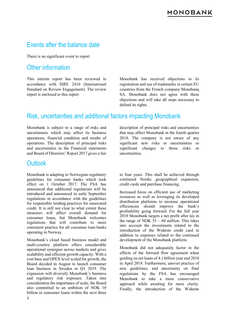# Events after the balance date

There is no significant event to report

### Other information

This interim report has been reviewed in accordance with ISRE 2410 (International Standard on Review Engagement). The review report is enclosed to this report

Monobank has received objections to its registration and use of trademarks in certain EU countries from the French company Monabanq SA. Monobank does not agree with these objections and will take all steps necessary to defend its rights.

# Risk, uncertainties and additional factors impacting Monobank

Monobank is subject to a range of risks and uncertainties which may affect its business operations, financial condition and results of operations. The description of principal risks and uncertainties in the Financial statements and Board of Directors' Report 2017 gives a fair

#### **Outlook**

Monobank is adapting to Norwegian regulatory guidelines for consumer banks which took effect on 1 October 2017. The FSA has announced that additional regulations will be introduced and announced in early September regulations in accordance with the guidelines for responsible lending practices for unsecured credit. It is still not clear to what extent these measures will affect overall demand for consumer loans, but Monobank welcomes regulations that will contribute to more consistent practice for all consumer loan banks operating in Norway.

Monobank's cloud based business model and multi-country platform offers considerable operational synergies across markets and gives scalability and efficient growth capacity. With a cost base and OPEX level scaled for growth, the Board decided in August to launch consumer loan business in Sweden in Q1 2019. The expansion will diversify Monobank's business and regulatory risk exposure. Taken into consideration the importance of scale, the Board also committed to an ambition of NOK 10 billion in consumer loans within the next three

description of principal risks and uncertainties that may affect Monobank in the fourth quarter 2018. The company is not aware of any significant new risks or uncertainties or significant changes to those risks or uncertainties.

to four years. This shall be achieved through continued Nordic geographical expansion, credit cards and purchase financing.

Increased focus on efficient use of marketing resources as well as leveraging its developed distribution platforms to increase operational efficiencies should improve the bank's profitability going forward. For the full year 2018 Monobank targets a net profit after tax in the range of NOK  $55 - 60$  million. This takes into account the investments related to the introduction of the Widerøe credit card in addition to expenses related to the continued development of the Monobank platform.

Monobank did not adequately factor in the effects of the forward flow agreement when guiding on net loans of 4.1 billion year end 2018 in April 2018. Furthermore, uneven practice of new guidelines, and uncertainty on final regulations by the FSA has encouraged Monobank to take a more conservative approach while awaiting for more clarity. Finally, the introduction of the Widerøe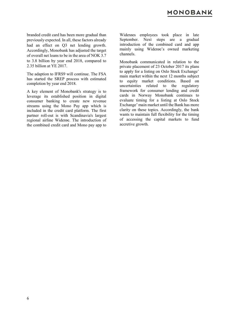branded credit card has been more gradual than previously expected. In all, these factors already had an effect on Q3 net lending growth. Accordingly, Monobank has adjusted the target of overall net loans to be in the area of NOK 3.7 to 3.8 billion by year end 2018, compared to 2.35 billion at YE 2017.

The adaption to IFRS9 will continue. The FSA has started the SREP process with estimated completion by year end 2018.

A key element of Monobank's strategy is to leverage its established position in digital consumer banking to create new revenue streams using the Mono Pay app which is included in the credit card platform. The first partner roll-out is with Scandinavia's largest regional airline Widerøe. The introduction of the combined credit card and Mono pay app to

Widerøes employees took place in late September. Next steps are a gradual introduction of the combined card and app mainly using Widerøe's owned marketing channels.

Monobank communicated in relation to the private placement of 23 October 2017 its plans to apply for a listing on Oslo Stock Exchange' main market within the next 12 months subject to equity market conditions. Based on uncertainties related to the regulatory framework for consumer lending and credit cards in Norway Monobank continues to evaluate timing for a listing at Oslo Stock Exchange' main market until the Bank has more clarity on these topics. Accordingly, the bank wants to maintain full flexibility for the timing of accessing the capital markets to fund accretive growth.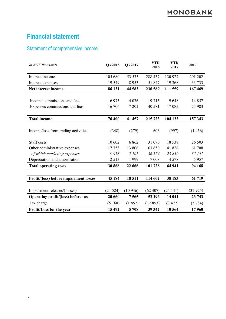# **Financial statement**

### Statement of comprehensive income

| In NOK thousands                       | Q3 2018 | Q3 2017 | <b>YTD</b><br>2018 | <b>YTD</b><br>2017 | 2017     |
|----------------------------------------|---------|---------|--------------------|--------------------|----------|
| Interest income                        | 105 680 | 53 535  | 288 437            | 130 927            | 201 202  |
| Interest expenses                      | 19 549  | 8953    | 51 847             | 19 3 68            | 33 733   |
| Net interest income                    | 86 131  | 44 582  | 236 589            | 111 559            | 167 469  |
|                                        |         |         |                    |                    |          |
| Income commissions and fees            | 6975    | 4 0 7 6 | 19715              | 9648               | 14 8 5 7 |
| Expenses commissions and fees          | 16 706  | 7 201   | 40 581             | 17085              | 24 983   |
| <b>Total income</b>                    | 76 400  | 41 457  | 215 723            | 104 122            | 157 343  |
|                                        |         |         |                    |                    |          |
| Income/loss from trading activities    | (348)   | (279)   | 606                | (997)              | (1456)   |
| Staff costs                            | 10 602  | 6862    | 31 070             | 18 5 38            | 26 503   |
| Other administrative expenses          | 17753   | 13 806  | 63 650             | 41826              | 61 708   |
| - of which marketing expenses          | 9958    | 7705    | 36 574             | 23 830             | 35 141   |
| Depreciation and amortisation          | 2 5 1 3 | 1999    | 7 0 0 8            | 4578               | 5957     |
| <b>Total operating costs</b>           | 30868   | 22 666  | 101 728            | 64 941             | 94 168   |
|                                        |         |         |                    |                    |          |
| Profit/(loss) before impairment losses | 45 184  | 18511   | 114 602            | 38 183             | 61 719   |
|                                        |         |         |                    |                    |          |
| Impairment releases/(losses)           | (24524) | (10946) | (62 407)           | (24141)            | (37975)  |
| Operating profit/(loss) before tax     | 20 660  | 7565    | 52 196             | 14 041             | 23 743   |
| Tax charge                             | (5168)  | (1857)  | (12853)            | (3 477)            | (5784)   |
| Profit/Loss for the year               | 15 4 92 | 5708    | 39 342             | 10 564             | 17960    |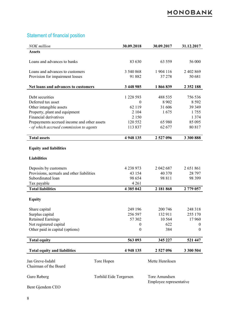# Statement of financial position

| <b>NOK</b> million                          |                        | 30.09.2018    | 30.09.2017                               | 31.12.2017     |
|---------------------------------------------|------------------------|---------------|------------------------------------------|----------------|
| <b>Assets</b>                               |                        |               |                                          |                |
| Loans and advances to banks                 |                        | 83 630        | 63 559                                   | 56 000         |
| Loans and advances to customers             |                        | 3 540 868     | 1904 116                                 | 2 402 869      |
| Provision for impairment losses             |                        | 91 882        | 37 278                                   | 50 681         |
| Net loans and advances to customers         |                        | 3 448 985     | 1866839                                  | 2 3 5 2 1 8 8  |
| Debt securities                             |                        | 1 228 593     | 488 535                                  | 756 536        |
| Deferred tax asset                          |                        | $\theta$      | 8 9 0 2                                  | 8 5 9 2        |
| Other intangible assets                     |                        | 62 119        | 31 606                                   | 39 349         |
| Property, plant and equipment               |                        | 2 1 0 4       | 1675                                     | 1755           |
| Financial derivatives                       |                        | 2 1 5 0       |                                          | 1 3 7 4        |
| Prepayments accrued income and other assets |                        | 120 552       | 65 980                                   | 85 095         |
| - of which accrued commission to agents     |                        | 113 837       | 62 677                                   | 80 817         |
| <b>Total assets</b>                         |                        | 4 948 135     | 2527096                                  | 3 300 888      |
|                                             |                        |               |                                          |                |
| <b>Equity and liabilities</b>               |                        |               |                                          |                |
| <b>Liabilities</b>                          |                        |               |                                          |                |
| Deposits by customers                       |                        | 4 2 3 8 9 7 3 | 2 042 687                                | 2 651 861      |
| Provisions, acrruals and other liabilities  |                        | 43 154        | 40 370                                   | 28 797         |
| Subordinated loan                           |                        | 98 654        | 98 811                                   | 98 399         |
| Tax payable                                 |                        | 4 2 6 1       |                                          |                |
| <b>Total liabilities</b>                    |                        | 4 385 042     | 2 181 868                                | 2779 057       |
| <b>Equity</b>                               |                        |               |                                          |                |
| Share capital                               |                        | 249 196       | 200 746                                  | 248 318        |
| Surplus capital                             |                        | 256 597       | 132 911                                  | 255 170        |
| <b>Retained Earnings</b>                    |                        | 57 302        | 10 5 64                                  | 17960          |
| Not registered capital                      |                        | 0             | 622                                      | 0              |
| Other paid in capital (options)             |                        | 0             | 384                                      | $\overline{0}$ |
| <b>Total equity</b>                         |                        | 563 093       | 345 227                                  | 521 447        |
|                                             |                        |               |                                          |                |
| <b>Total equity and liabilities</b>         |                        | 4 948 135     | 2 527 096                                | 3 300 504      |
| Jan Greve-Isdahl                            | Tore Hopen             |               | Mette Henriksen                          |                |
| Chairman of the Board                       |                        |               |                                          |                |
| Guro Røberg                                 | Torhild Eide Torgersen |               | Tore Amundsen<br>Employee representative |                |
| Bent Gjendem CEO                            |                        |               |                                          |                |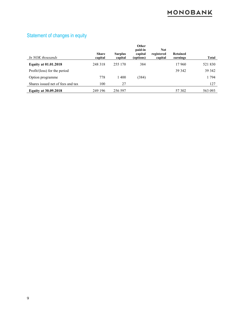#### *In NOK thousands* **Share capital Surplus capital Other paid-in capital (options) Not registered capital Retained earnings Total Equity at 01.01.2018** 248 318 255 170 384 17 960 521 830 Profit/(loss) for the period 39 342 39 342 Option programme 778 1 400 (384) 1 794 Shares issued net of fees and tax 100 27 127 **Equity at 30.09.2018** 249 196 256 597 57 302 563 093

#### Statement of changes in equity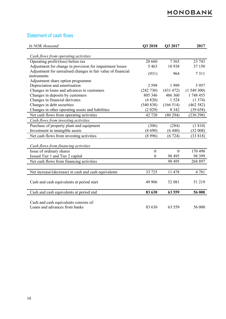#### Statement of cash flows

| In NOK thousand                                                         | Q3 2018        | Q3 2017   | 2017      |
|-------------------------------------------------------------------------|----------------|-----------|-----------|
| Cash flows from operating activities                                    |                |           |           |
| Operating profit/(loss) before tax                                      | 20 660         | 7565      | 23 743    |
| Adjustment for change in provision for impairment losses                | 5 4 6 3        | 10938     | 37 150    |
| Adjustment for unrealised changes in fair value of financial            | (931)          | 964       | 7311      |
| instruments                                                             |                |           |           |
| Adjustment share option programme                                       |                |           |           |
| Depreciation and amortisation                                           | 2 5 9 9        | 1999      | 5957      |
| Changes in loans and advances to customers                              | (242 730)      | (431 472) | (1549300) |
| Changes in deposits by customers                                        | 805 346        | 486 360   | 1 748 455 |
| Changes in financial derivates                                          | (4820)         | 1 5 2 4   | (1374)    |
| Changes in debt securities                                              | (540 838)      | (166514)  | (462582)  |
| Changes in other operating assets and liabilities                       | (2 029)        | 8 3 4 2   | (39658)   |
| Net cash flows from operating activities                                | 42 720         | (80294)   | (230 298) |
| Cash flows from investing activities                                    |                |           |           |
| Purchase of property plant and equipment                                | (306)          | (284)     | (1810)    |
| Investment in intangible assets                                         | (8690)         | (6440)    | (32008)   |
| Net cash flows from investing activities                                | (8996)         | (6724)    | (33818)   |
| Cash flows from financing activities                                    |                |           |           |
| Issue of ordinary shares                                                | $\overline{0}$ | $\theta$  | 170 498   |
|                                                                         |                |           |           |
| Issued Tier 1 and Tier 2 capital                                        | $\mathbf{0}$   | 98 4 95   | 98 399    |
| Net cash flows from financing activities                                |                | 98 4 95   | 268 897   |
| Net increase/(decrease) in cash and cash equivalents                    | 33 725         | 11 478    | 4781      |
|                                                                         |                |           |           |
| Cash and cash equivalents at period start                               | 49 906         | 52 081    | 51 219    |
| Cash and cash equivalents at period end                                 | 83 630         | 63 559    | 56 000    |
| Cash and cash equivalents consists of:<br>Loans and advances from banks | 83 630         | 63 559    | 56 000    |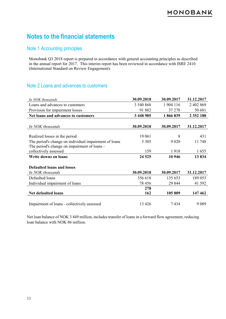# **Notes to the financial statements**

#### Note 1 Accounting principles

Monobank Q3 2018 report is prepared in accordance with general accounting principles as described in the annual report for 2017. This interim report has been reviewed in accordance with ISRE 2410 (International Standard on Review Engagement).

#### Note 2 Loans and advances to customers

| In NOK thousands                                      | 30.09.2018 | 30.09.2017 | 31.12.2017    |
|-------------------------------------------------------|------------|------------|---------------|
| Loans and advances to customers                       | 3 540 868  | 1 904 116  | 2 402 869     |
| Provision for impairment losses                       | 91 882     | 37 278     | 50 681        |
| Net loans and advances to customers                   | 3 448 985  | 1866839    | 2 3 5 2 1 8 8 |
|                                                       |            |            |               |
| In NOK thousands                                      | 30.09.2018 | 30.09.2017 | 31.12.2017    |
|                                                       |            |            |               |
| Realized losses in the period                         | 19 061     | 8          | 431           |
| The period's change on individual impairment of loans | 5 3 0 5    | 9 0 20     | 11748         |
| The period's change on impairment of loans -          |            |            |               |
| collectively assessed                                 | 159        | 1918       | 1655          |
| <b>Write downs on loans</b>                           | 24 5 25    | 10 946     | 13834         |
|                                                       |            |            |               |
| <b>Defaulted loans and losses</b>                     |            |            |               |
| In NOK thousands                                      | 30.09.2018 | 30.09.2017 | 31.12.2017    |
| Defaulted loans                                       | 356 618    | 135 653    | 189 053       |
| Individual impairment of loans                        | 78 456     | 29 844     | 41 592        |
|                                                       | 278        |            |               |
| <b>Net defaulted loans</b>                            | 162        | 105 809    | 147 462       |
|                                                       |            |            |               |
| Impairment of loans - collectively assessed           | 13 4 26    | 7434       | 9089          |

Net loan balance of NOK 3 449 million, includes transfer of loans in a forward flow agreement, reducing loan balance with NOK 86 million.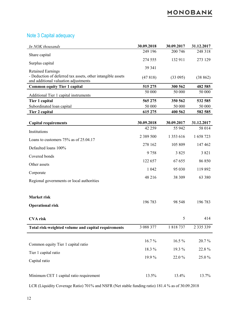### Note 3 Capital adequacy

| In NOK thousands                                                                        | 30.09.2018    | 30.09.2017 | 31.12.2017    |
|-----------------------------------------------------------------------------------------|---------------|------------|---------------|
| Share capital                                                                           | 249 196       | 200 746    | 248 318       |
|                                                                                         | 274 555       | 132 911    | 273 129       |
| Surplus capital                                                                         | 39 341        |            |               |
| <b>Retained Earnings</b><br>- Deduction of deferred tax assets, other intangible assets |               |            |               |
| and additional valuation adjustments                                                    | (47818)       | (33 095)   | (38862)       |
| <b>Common equity Tier 1 capital</b>                                                     | 515 275       | 300 562    | 482 585       |
| Additional Tier 1 capital instruments                                                   | 50 000        | 50 000     | 50 000        |
| Tier 1 capital                                                                          | 565 275       | 350 562    | 532 585       |
| Subordinated loan capital                                                               | 50 000        | 50 000     | 50 000        |
| Tier 2 capital                                                                          | 615 275       | 400 562    | 582 585       |
| <b>Capital requirements</b>                                                             | 30.09.2018    | 30.09.2017 | 31.12.2017    |
|                                                                                         | 42 259        | 55 942     | 58 014        |
| Institutions                                                                            | 2 3 8 9 5 0 0 | 1 353 616  | 1 658 723     |
| Loans to customers $75%$ as of 25.04.17                                                 | 278 162       | 105 809    | 147 462       |
| Defaulted loans 100%                                                                    |               |            |               |
| Covered bonds                                                                           | 9758          | 3 8 2 5    | 3 8 2 1       |
| Other assets                                                                            | 122 657       | 67 655     | 86 850        |
| Corporate                                                                               | 1 0 4 2       | 95 030     | 119892        |
|                                                                                         | 48 216        | 38 309     | 63 380        |
| Regional governments or local authorities                                               |               |            |               |
|                                                                                         |               |            |               |
| <b>Market risk</b>                                                                      |               |            |               |
| <b>Operational risk</b>                                                                 | 196 783       | 98 548     | 196 783       |
|                                                                                         |               |            |               |
| <b>CVA</b> risk                                                                         |               | 5          | 414           |
| Total risk-weighted volume and capital requirements                                     | 3 088 377     | 1818737    | 2 3 3 5 3 3 9 |
|                                                                                         |               |            |               |
| Common equity Tier 1 capital ratio                                                      | 16.7%         | $16.5\%$   | 20.7%         |
|                                                                                         | 18.3%         | 19.3 %     | 22.8%         |
| Tier 1 capital ratio                                                                    | 19.9%         | 22.0%      | 25.0%         |
| Capital ratio                                                                           |               |            |               |
|                                                                                         |               |            |               |
| Minimum CET 1 capital ratio requirement                                                 | 13.5%         | 13.4%      | 13.7%         |

LCR (Liquidity Coverage Ratio) 701% and NSFR (Net stable funding ratio) 181.4 % as of 30.09.2018